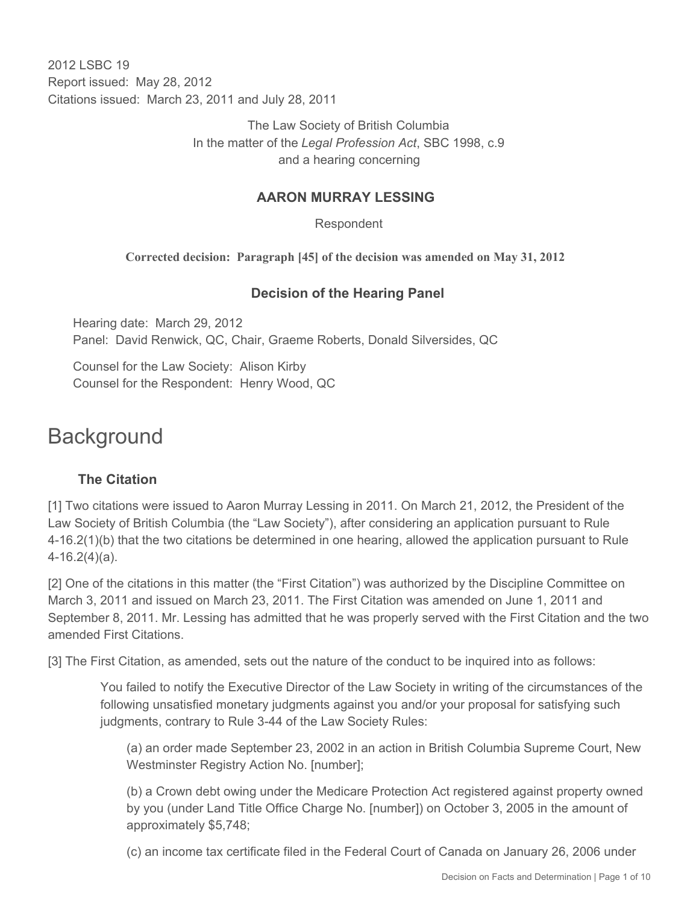2012 LSBC 19 Report issued: May 28, 2012 Citations issued: March 23, 2011 and July 28, 2011

> The Law Society of British Columbia In the matter of the *Legal Profession Act*, SBC 1998, c.9 and a hearing concerning

#### **AARON MURRAY LESSING**

Respondent

**Corrected decision: Paragraph [45] of the decision was amended on May 31, 2012** 

#### **Decision of the Hearing Panel**

Hearing date: March 29, 2012 Panel: David Renwick, QC, Chair, Graeme Roberts, Donald Silversides, QC

Counsel for the Law Society: Alison Kirby Counsel for the Respondent: Henry Wood, QC

# **Background**

### **The Citation**

[1] Two citations were issued to Aaron Murray Lessing in 2011. On March 21, 2012, the President of the Law Society of British Columbia (the "Law Society"), after considering an application pursuant to Rule 4-16.2(1)(b) that the two citations be determined in one hearing, allowed the application pursuant to Rule 4-16.2(4)(a).

[2] One of the citations in this matter (the "First Citation") was authorized by the Discipline Committee on March 3, 2011 and issued on March 23, 2011. The First Citation was amended on June 1, 2011 and September 8, 2011. Mr. Lessing has admitted that he was properly served with the First Citation and the two amended First Citations.

[3] The First Citation, as amended, sets out the nature of the conduct to be inquired into as follows:

You failed to notify the Executive Director of the Law Society in writing of the circumstances of the following unsatisfied monetary judgments against you and/or your proposal for satisfying such judgments, contrary to Rule 3-44 of the Law Society Rules:

(a) an order made September 23, 2002 in an action in British Columbia Supreme Court, New Westminster Registry Action No. [number];

(b) a Crown debt owing under the Medicare Protection Act registered against property owned by you (under Land Title Office Charge No. [number]) on October 3, 2005 in the amount of approximately \$5,748;

(c) an income tax certificate filed in the Federal Court of Canada on January 26, 2006 under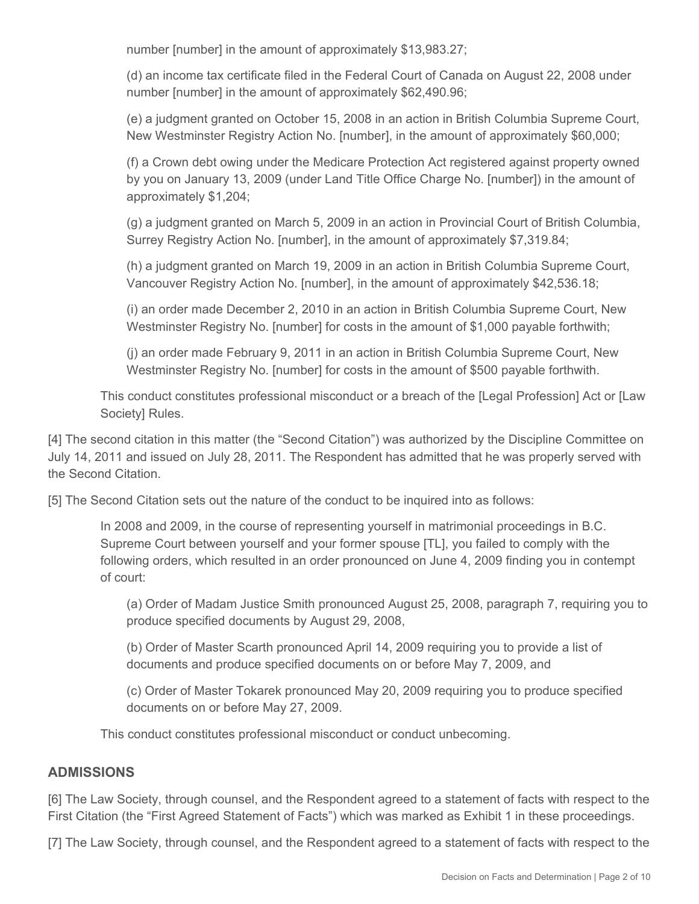number [number] in the amount of approximately \$13,983.27;

(d) an income tax certificate filed in the Federal Court of Canada on August 22, 2008 under number [number] in the amount of approximately \$62,490.96;

(e) a judgment granted on October 15, 2008 in an action in British Columbia Supreme Court, New Westminster Registry Action No. [number], in the amount of approximately \$60,000;

(f) a Crown debt owing under the Medicare Protection Act registered against property owned by you on January 13, 2009 (under Land Title Office Charge No. [number]) in the amount of approximately \$1,204;

(g) a judgment granted on March 5, 2009 in an action in Provincial Court of British Columbia, Surrey Registry Action No. [number], in the amount of approximately \$7,319.84;

(h) a judgment granted on March 19, 2009 in an action in British Columbia Supreme Court, Vancouver Registry Action No. [number], in the amount of approximately \$42,536.18;

(i) an order made December 2, 2010 in an action in British Columbia Supreme Court, New Westminster Registry No. [number] for costs in the amount of \$1,000 payable forthwith;

(j) an order made February 9, 2011 in an action in British Columbia Supreme Court, New Westminster Registry No. [number] for costs in the amount of \$500 payable forthwith.

This conduct constitutes professional misconduct or a breach of the [Legal Profession] Act or [Law Society] Rules.

[4] The second citation in this matter (the "Second Citation") was authorized by the Discipline Committee on July 14, 2011 and issued on July 28, 2011. The Respondent has admitted that he was properly served with the Second Citation.

[5] The Second Citation sets out the nature of the conduct to be inquired into as follows:

In 2008 and 2009, in the course of representing yourself in matrimonial proceedings in B.C. Supreme Court between yourself and your former spouse [TL], you failed to comply with the following orders, which resulted in an order pronounced on June 4, 2009 finding you in contempt of court:

(a) Order of Madam Justice Smith pronounced August 25, 2008, paragraph 7, requiring you to produce specified documents by August 29, 2008,

(b) Order of Master Scarth pronounced April 14, 2009 requiring you to provide a list of documents and produce specified documents on or before May 7, 2009, and

(c) Order of Master Tokarek pronounced May 20, 2009 requiring you to produce specified documents on or before May 27, 2009.

This conduct constitutes professional misconduct or conduct unbecoming.

### **ADMISSIONS**

[6] The Law Society, through counsel, and the Respondent agreed to a statement of facts with respect to the First Citation (the "First Agreed Statement of Facts") which was marked as Exhibit 1 in these proceedings.

[7] The Law Society, through counsel, and the Respondent agreed to a statement of facts with respect to the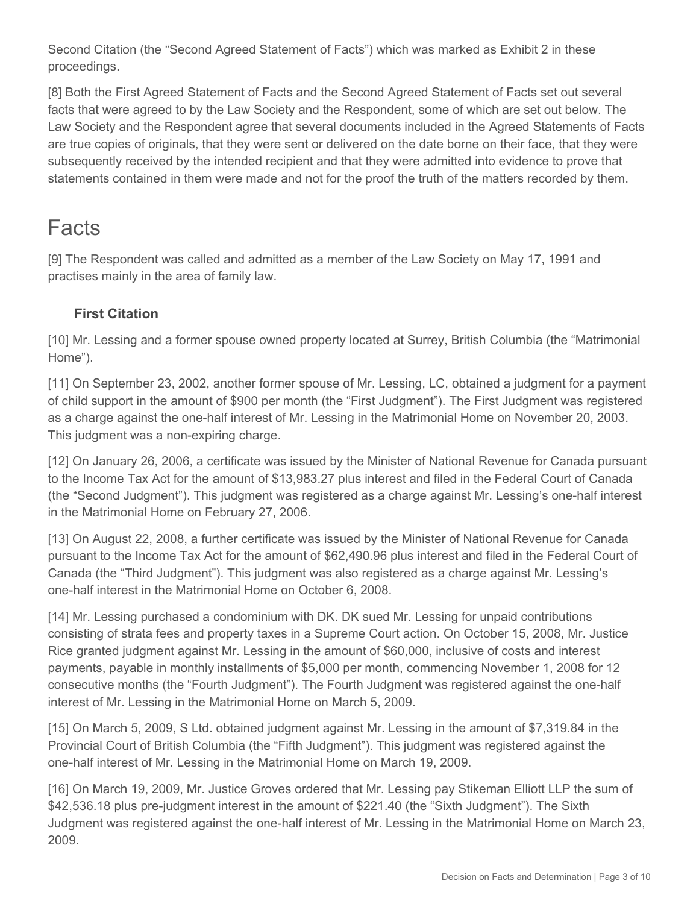Second Citation (the "Second Agreed Statement of Facts") which was marked as Exhibit 2 in these proceedings.

[8] Both the First Agreed Statement of Facts and the Second Agreed Statement of Facts set out several facts that were agreed to by the Law Society and the Respondent, some of which are set out below. The Law Society and the Respondent agree that several documents included in the Agreed Statements of Facts are true copies of originals, that they were sent or delivered on the date borne on their face, that they were subsequently received by the intended recipient and that they were admitted into evidence to prove that statements contained in them were made and not for the proof the truth of the matters recorded by them.

# **Facts**

[9] The Respondent was called and admitted as a member of the Law Society on May 17, 1991 and practises mainly in the area of family law.

## **First Citation**

[10] Mr. Lessing and a former spouse owned property located at Surrey, British Columbia (the "Matrimonial Home").

[11] On September 23, 2002, another former spouse of Mr. Lessing, LC, obtained a judgment for a payment of child support in the amount of \$900 per month (the "First Judgment"). The First Judgment was registered as a charge against the one-half interest of Mr. Lessing in the Matrimonial Home on November 20, 2003. This judgment was a non-expiring charge.

[12] On January 26, 2006, a certificate was issued by the Minister of National Revenue for Canada pursuant to the Income Tax Act for the amount of \$13,983.27 plus interest and filed in the Federal Court of Canada (the "Second Judgment"). This judgment was registered as a charge against Mr. Lessing's one-half interest in the Matrimonial Home on February 27, 2006.

[13] On August 22, 2008, a further certificate was issued by the Minister of National Revenue for Canada pursuant to the Income Tax Act for the amount of \$62,490.96 plus interest and filed in the Federal Court of Canada (the "Third Judgment"). This judgment was also registered as a charge against Mr. Lessing's one-half interest in the Matrimonial Home on October 6, 2008.

[14] Mr. Lessing purchased a condominium with DK. DK sued Mr. Lessing for unpaid contributions consisting of strata fees and property taxes in a Supreme Court action. On October 15, 2008, Mr. Justice Rice granted judgment against Mr. Lessing in the amount of \$60,000, inclusive of costs and interest payments, payable in monthly installments of \$5,000 per month, commencing November 1, 2008 for 12 consecutive months (the "Fourth Judgment"). The Fourth Judgment was registered against the one-half interest of Mr. Lessing in the Matrimonial Home on March 5, 2009.

[15] On March 5, 2009, S Ltd. obtained judgment against Mr. Lessing in the amount of \$7,319.84 in the Provincial Court of British Columbia (the "Fifth Judgment"). This judgment was registered against the one-half interest of Mr. Lessing in the Matrimonial Home on March 19, 2009.

[16] On March 19, 2009, Mr. Justice Groves ordered that Mr. Lessing pay Stikeman Elliott LLP the sum of \$42,536.18 plus pre-judgment interest in the amount of \$221.40 (the "Sixth Judgment"). The Sixth Judgment was registered against the one-half interest of Mr. Lessing in the Matrimonial Home on March 23, 2009.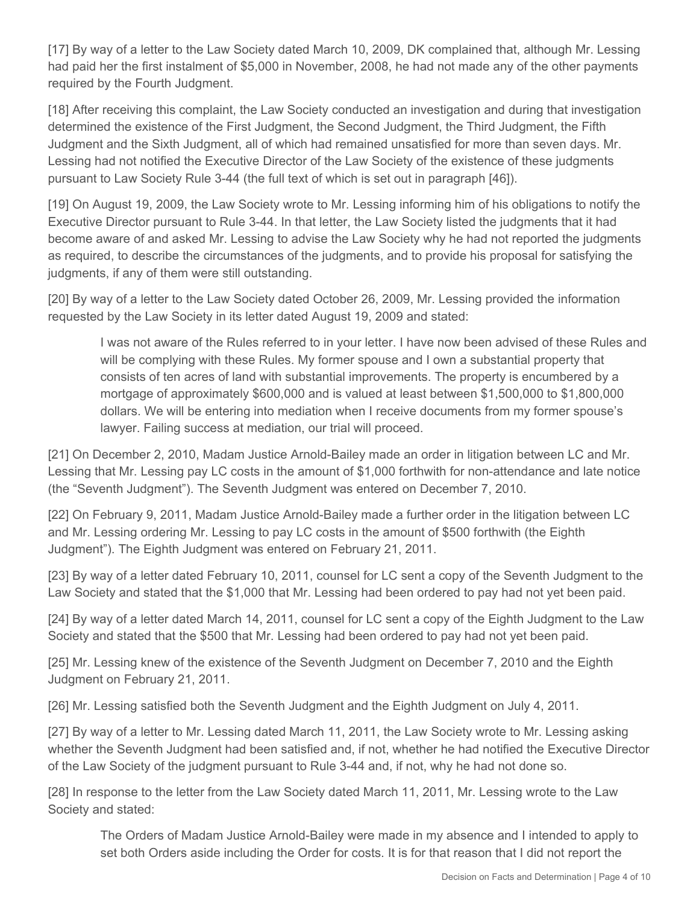[17] By way of a letter to the Law Society dated March 10, 2009, DK complained that, although Mr. Lessing had paid her the first instalment of \$5,000 in November, 2008, he had not made any of the other payments required by the Fourth Judgment.

[18] After receiving this complaint, the Law Society conducted an investigation and during that investigation determined the existence of the First Judgment, the Second Judgment, the Third Judgment, the Fifth Judgment and the Sixth Judgment, all of which had remained unsatisfied for more than seven days. Mr. Lessing had not notified the Executive Director of the Law Society of the existence of these judgments pursuant to Law Society Rule 3-44 (the full text of which is set out in paragraph [46]).

[19] On August 19, 2009, the Law Society wrote to Mr. Lessing informing him of his obligations to notify the Executive Director pursuant to Rule 3-44. In that letter, the Law Society listed the judgments that it had become aware of and asked Mr. Lessing to advise the Law Society why he had not reported the judgments as required, to describe the circumstances of the judgments, and to provide his proposal for satisfying the judgments, if any of them were still outstanding.

[20] By way of a letter to the Law Society dated October 26, 2009, Mr. Lessing provided the information requested by the Law Society in its letter dated August 19, 2009 and stated:

I was not aware of the Rules referred to in your letter. I have now been advised of these Rules and will be complying with these Rules. My former spouse and I own a substantial property that consists of ten acres of land with substantial improvements. The property is encumbered by a mortgage of approximately \$600,000 and is valued at least between \$1,500,000 to \$1,800,000 dollars. We will be entering into mediation when I receive documents from my former spouse's lawyer. Failing success at mediation, our trial will proceed.

[21] On December 2, 2010, Madam Justice Arnold-Bailey made an order in litigation between LC and Mr. Lessing that Mr. Lessing pay LC costs in the amount of \$1,000 forthwith for non-attendance and late notice (the "Seventh Judgment"). The Seventh Judgment was entered on December 7, 2010.

[22] On February 9, 2011, Madam Justice Arnold-Bailey made a further order in the litigation between LC and Mr. Lessing ordering Mr. Lessing to pay LC costs in the amount of \$500 forthwith (the Eighth Judgment"). The Eighth Judgment was entered on February 21, 2011.

[23] By way of a letter dated February 10, 2011, counsel for LC sent a copy of the Seventh Judgment to the Law Society and stated that the \$1,000 that Mr. Lessing had been ordered to pay had not yet been paid.

[24] By way of a letter dated March 14, 2011, counsel for LC sent a copy of the Eighth Judgment to the Law Society and stated that the \$500 that Mr. Lessing had been ordered to pay had not yet been paid.

[25] Mr. Lessing knew of the existence of the Seventh Judgment on December 7, 2010 and the Eighth Judgment on February 21, 2011.

[26] Mr. Lessing satisfied both the Seventh Judgment and the Eighth Judgment on July 4, 2011.

[27] By way of a letter to Mr. Lessing dated March 11, 2011, the Law Society wrote to Mr. Lessing asking whether the Seventh Judgment had been satisfied and, if not, whether he had notified the Executive Director of the Law Society of the judgment pursuant to Rule 3-44 and, if not, why he had not done so.

[28] In response to the letter from the Law Society dated March 11, 2011, Mr. Lessing wrote to the Law Society and stated:

The Orders of Madam Justice Arnold-Bailey were made in my absence and I intended to apply to set both Orders aside including the Order for costs. It is for that reason that I did not report the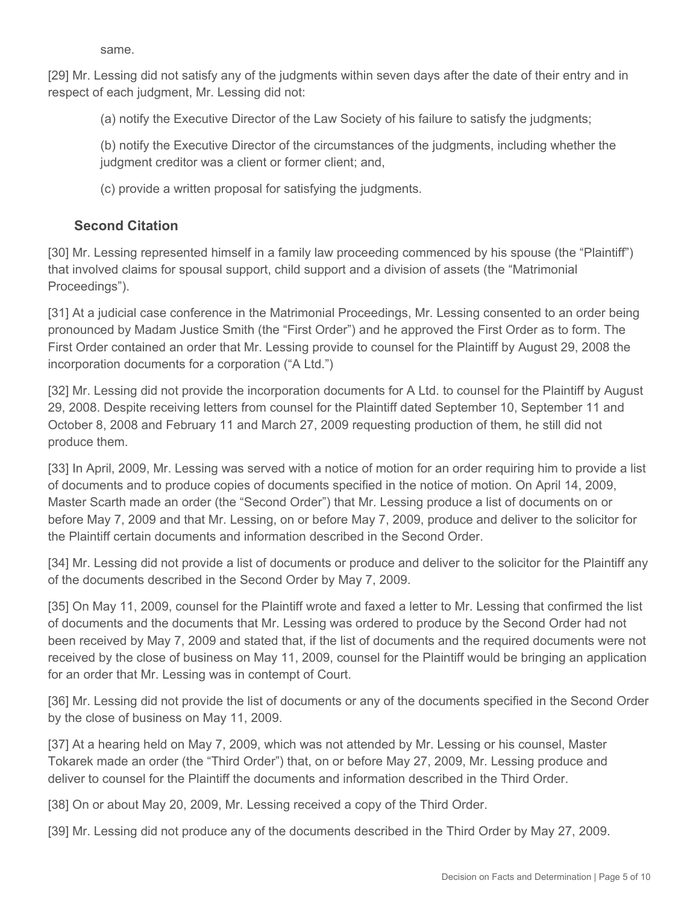same.

[29] Mr. Lessing did not satisfy any of the judgments within seven days after the date of their entry and in respect of each judgment, Mr. Lessing did not:

(a) notify the Executive Director of the Law Society of his failure to satisfy the judgments;

(b) notify the Executive Director of the circumstances of the judgments, including whether the judgment creditor was a client or former client; and,

(c) provide a written proposal for satisfying the judgments.

#### **Second Citation**

[30] Mr. Lessing represented himself in a family law proceeding commenced by his spouse (the "Plaintiff") that involved claims for spousal support, child support and a division of assets (the "Matrimonial Proceedings").

[31] At a judicial case conference in the Matrimonial Proceedings, Mr. Lessing consented to an order being pronounced by Madam Justice Smith (the "First Order") and he approved the First Order as to form. The First Order contained an order that Mr. Lessing provide to counsel for the Plaintiff by August 29, 2008 the incorporation documents for a corporation ("A Ltd.")

[32] Mr. Lessing did not provide the incorporation documents for A Ltd. to counsel for the Plaintiff by August 29, 2008. Despite receiving letters from counsel for the Plaintiff dated September 10, September 11 and October 8, 2008 and February 11 and March 27, 2009 requesting production of them, he still did not produce them.

[33] In April, 2009, Mr. Lessing was served with a notice of motion for an order requiring him to provide a list of documents and to produce copies of documents specified in the notice of motion. On April 14, 2009, Master Scarth made an order (the "Second Order") that Mr. Lessing produce a list of documents on or before May 7, 2009 and that Mr. Lessing, on or before May 7, 2009, produce and deliver to the solicitor for the Plaintiff certain documents and information described in the Second Order.

[34] Mr. Lessing did not provide a list of documents or produce and deliver to the solicitor for the Plaintiff any of the documents described in the Second Order by May 7, 2009.

[35] On May 11, 2009, counsel for the Plaintiff wrote and faxed a letter to Mr. Lessing that confirmed the list of documents and the documents that Mr. Lessing was ordered to produce by the Second Order had not been received by May 7, 2009 and stated that, if the list of documents and the required documents were not received by the close of business on May 11, 2009, counsel for the Plaintiff would be bringing an application for an order that Mr. Lessing was in contempt of Court.

[36] Mr. Lessing did not provide the list of documents or any of the documents specified in the Second Order by the close of business on May 11, 2009.

[37] At a hearing held on May 7, 2009, which was not attended by Mr. Lessing or his counsel, Master Tokarek made an order (the "Third Order") that, on or before May 27, 2009, Mr. Lessing produce and deliver to counsel for the Plaintiff the documents and information described in the Third Order.

[38] On or about May 20, 2009, Mr. Lessing received a copy of the Third Order.

[39] Mr. Lessing did not produce any of the documents described in the Third Order by May 27, 2009.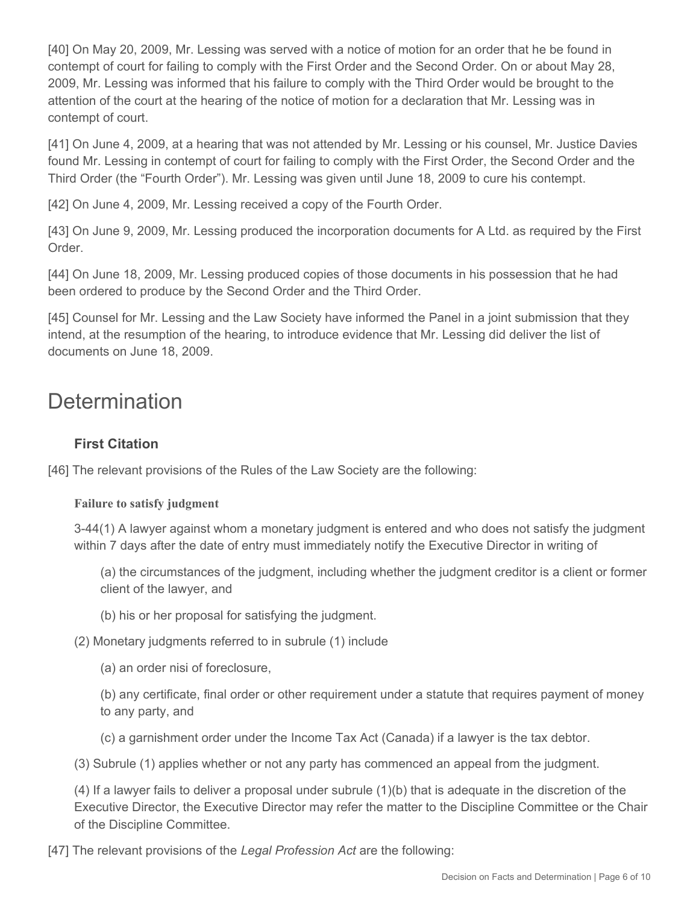[40] On May 20, 2009, Mr. Lessing was served with a notice of motion for an order that he be found in contempt of court for failing to comply with the First Order and the Second Order. On or about May 28, 2009, Mr. Lessing was informed that his failure to comply with the Third Order would be brought to the attention of the court at the hearing of the notice of motion for a declaration that Mr. Lessing was in contempt of court.

[41] On June 4, 2009, at a hearing that was not attended by Mr. Lessing or his counsel, Mr. Justice Davies found Mr. Lessing in contempt of court for failing to comply with the First Order, the Second Order and the Third Order (the "Fourth Order"). Mr. Lessing was given until June 18, 2009 to cure his contempt.

[42] On June 4, 2009, Mr. Lessing received a copy of the Fourth Order.

[43] On June 9, 2009, Mr. Lessing produced the incorporation documents for A Ltd. as required by the First Order.

[44] On June 18, 2009, Mr. Lessing produced copies of those documents in his possession that he had been ordered to produce by the Second Order and the Third Order.

[45] Counsel for Mr. Lessing and the Law Society have informed the Panel in a joint submission that they intend, at the resumption of the hearing, to introduce evidence that Mr. Lessing did deliver the list of documents on June 18, 2009.

# **Determination**

## **First Citation**

[46] The relevant provisions of the Rules of the Law Society are the following:

#### **Failure to satisfy judgment**

3-44(1) A lawyer against whom a monetary judgment is entered and who does not satisfy the judgment within 7 days after the date of entry must immediately notify the Executive Director in writing of

(a) the circumstances of the judgment, including whether the judgment creditor is a client or former client of the lawyer, and

(b) his or her proposal for satisfying the judgment.

(2) Monetary judgments referred to in subrule (1) include

(a) an order nisi of foreclosure,

(b) any certificate, final order or other requirement under a statute that requires payment of money to any party, and

(c) a garnishment order under the Income Tax Act (Canada) if a lawyer is the tax debtor.

(3) Subrule (1) applies whether or not any party has commenced an appeal from the judgment.

(4) If a lawyer fails to deliver a proposal under subrule (1)(b) that is adequate in the discretion of the Executive Director, the Executive Director may refer the matter to the Discipline Committee or the Chair of the Discipline Committee.

[47] The relevant provisions of the *Legal Profession Act* are the following: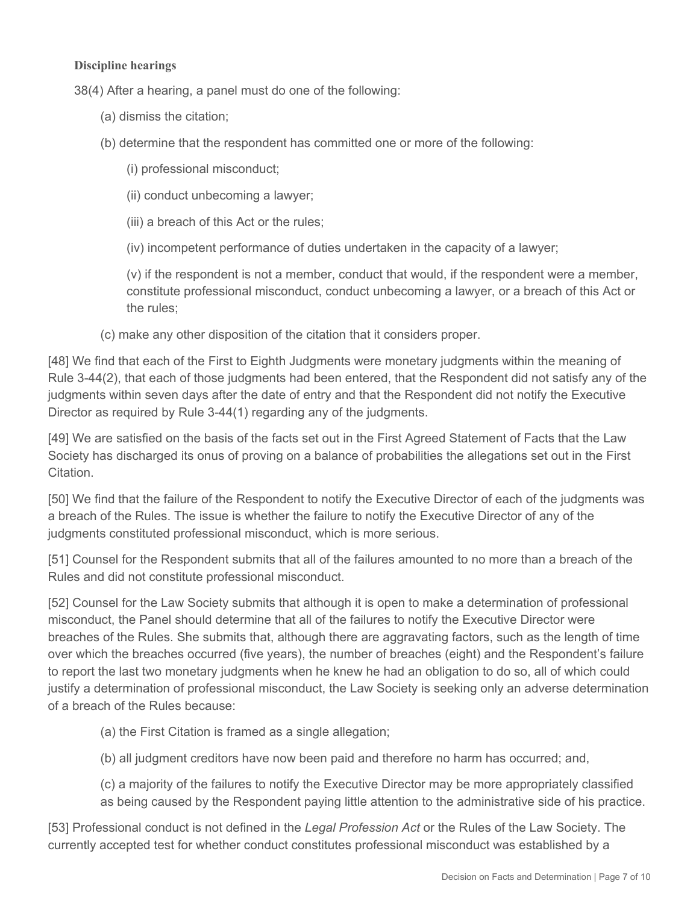#### **Discipline hearings**

38(4) After a hearing, a panel must do one of the following:

- (a) dismiss the citation;
- (b) determine that the respondent has committed one or more of the following:
	- (i) professional misconduct;
	- (ii) conduct unbecoming a lawyer;
	- (iii) a breach of this Act or the rules;
	- (iv) incompetent performance of duties undertaken in the capacity of a lawyer;

(v) if the respondent is not a member, conduct that would, if the respondent were a member, constitute professional misconduct, conduct unbecoming a lawyer, or a breach of this Act or the rules;

(c) make any other disposition of the citation that it considers proper.

[48] We find that each of the First to Eighth Judgments were monetary judgments within the meaning of Rule 3-44(2), that each of those judgments had been entered, that the Respondent did not satisfy any of the judgments within seven days after the date of entry and that the Respondent did not notify the Executive Director as required by Rule 3-44(1) regarding any of the judgments.

[49] We are satisfied on the basis of the facts set out in the First Agreed Statement of Facts that the Law Society has discharged its onus of proving on a balance of probabilities the allegations set out in the First Citation.

[50] We find that the failure of the Respondent to notify the Executive Director of each of the judgments was a breach of the Rules. The issue is whether the failure to notify the Executive Director of any of the judgments constituted professional misconduct, which is more serious.

[51] Counsel for the Respondent submits that all of the failures amounted to no more than a breach of the Rules and did not constitute professional misconduct.

[52] Counsel for the Law Society submits that although it is open to make a determination of professional misconduct, the Panel should determine that all of the failures to notify the Executive Director were breaches of the Rules. She submits that, although there are aggravating factors, such as the length of time over which the breaches occurred (five years), the number of breaches (eight) and the Respondent's failure to report the last two monetary judgments when he knew he had an obligation to do so, all of which could justify a determination of professional misconduct, the Law Society is seeking only an adverse determination of a breach of the Rules because:

- (a) the First Citation is framed as a single allegation;
- (b) all judgment creditors have now been paid and therefore no harm has occurred; and,
- (c) a majority of the failures to notify the Executive Director may be more appropriately classified as being caused by the Respondent paying little attention to the administrative side of his practice.

[53] Professional conduct is not defined in the *Legal Profession Act* or the Rules of the Law Society. The currently accepted test for whether conduct constitutes professional misconduct was established by a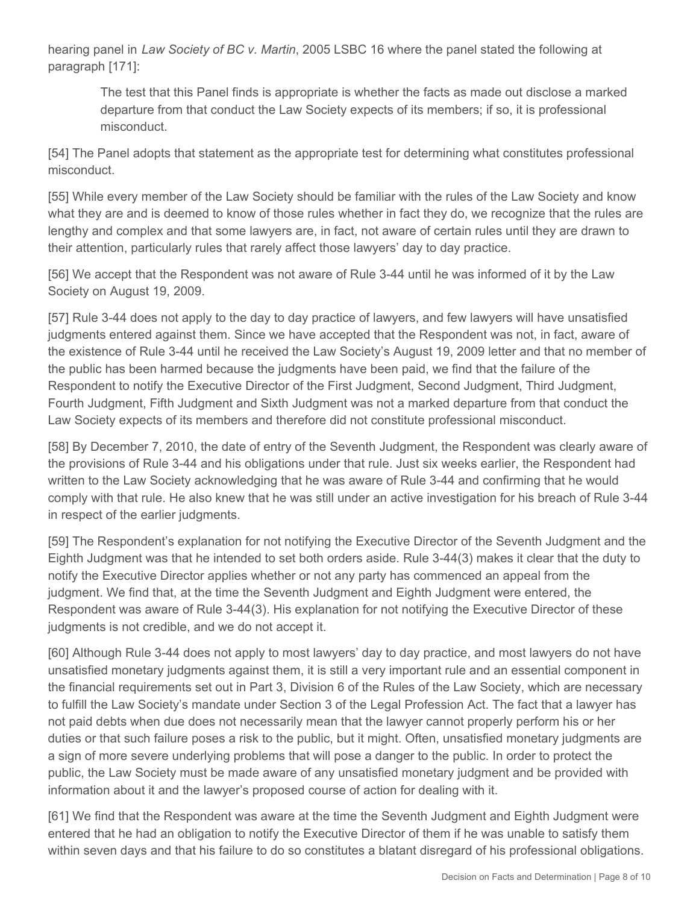hearing panel in *Law Society of BC v. Martin*, 2005 LSBC 16 where the panel stated the following at paragraph [171]:

The test that this Panel finds is appropriate is whether the facts as made out disclose a marked departure from that conduct the Law Society expects of its members; if so, it is professional misconduct.

[54] The Panel adopts that statement as the appropriate test for determining what constitutes professional misconduct.

[55] While every member of the Law Society should be familiar with the rules of the Law Society and know what they are and is deemed to know of those rules whether in fact they do, we recognize that the rules are lengthy and complex and that some lawyers are, in fact, not aware of certain rules until they are drawn to their attention, particularly rules that rarely affect those lawyers' day to day practice.

[56] We accept that the Respondent was not aware of Rule 3-44 until he was informed of it by the Law Society on August 19, 2009.

[57] Rule 3-44 does not apply to the day to day practice of lawyers, and few lawyers will have unsatisfied judgments entered against them. Since we have accepted that the Respondent was not, in fact, aware of the existence of Rule 3-44 until he received the Law Society's August 19, 2009 letter and that no member of the public has been harmed because the judgments have been paid, we find that the failure of the Respondent to notify the Executive Director of the First Judgment, Second Judgment, Third Judgment, Fourth Judgment, Fifth Judgment and Sixth Judgment was not a marked departure from that conduct the Law Society expects of its members and therefore did not constitute professional misconduct.

[58] By December 7, 2010, the date of entry of the Seventh Judgment, the Respondent was clearly aware of the provisions of Rule 3-44 and his obligations under that rule. Just six weeks earlier, the Respondent had written to the Law Society acknowledging that he was aware of Rule 3-44 and confirming that he would comply with that rule. He also knew that he was still under an active investigation for his breach of Rule 3-44 in respect of the earlier judgments.

[59] The Respondent's explanation for not notifying the Executive Director of the Seventh Judgment and the Eighth Judgment was that he intended to set both orders aside. Rule 3-44(3) makes it clear that the duty to notify the Executive Director applies whether or not any party has commenced an appeal from the judgment. We find that, at the time the Seventh Judgment and Eighth Judgment were entered, the Respondent was aware of Rule 3-44(3). His explanation for not notifying the Executive Director of these judgments is not credible, and we do not accept it.

[60] Although Rule 3-44 does not apply to most lawyers' day to day practice, and most lawyers do not have unsatisfied monetary judgments against them, it is still a very important rule and an essential component in the financial requirements set out in Part 3, Division 6 of the Rules of the Law Society, which are necessary to fulfill the Law Society's mandate under Section 3 of the Legal Profession Act. The fact that a lawyer has not paid debts when due does not necessarily mean that the lawyer cannot properly perform his or her duties or that such failure poses a risk to the public, but it might. Often, unsatisfied monetary judgments are a sign of more severe underlying problems that will pose a danger to the public. In order to protect the public, the Law Society must be made aware of any unsatisfied monetary judgment and be provided with information about it and the lawyer's proposed course of action for dealing with it.

[61] We find that the Respondent was aware at the time the Seventh Judgment and Eighth Judgment were entered that he had an obligation to notify the Executive Director of them if he was unable to satisfy them within seven days and that his failure to do so constitutes a blatant disregard of his professional obligations.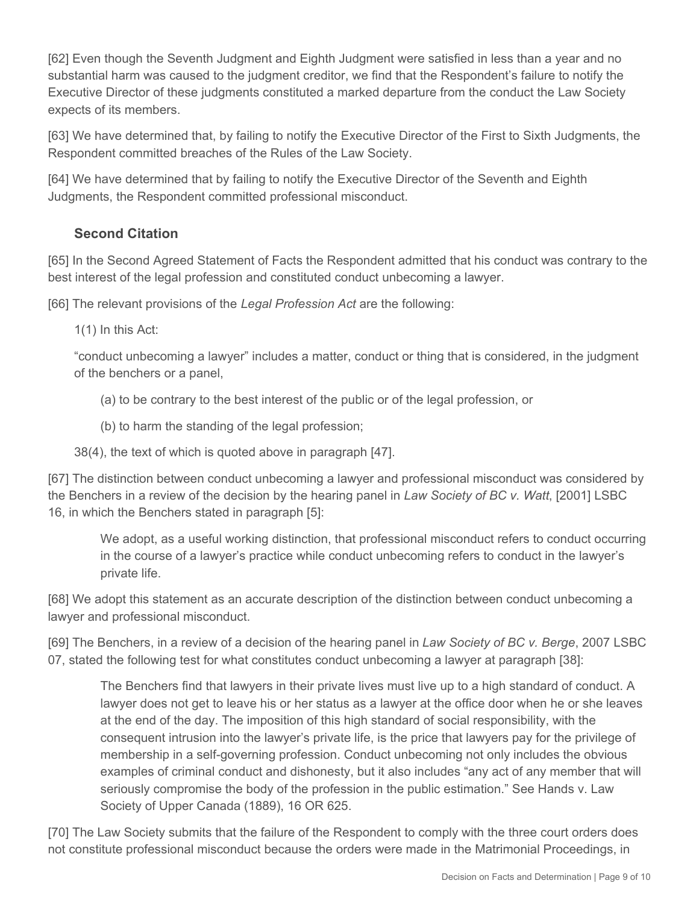[62] Even though the Seventh Judgment and Eighth Judgment were satisfied in less than a year and no substantial harm was caused to the judgment creditor, we find that the Respondent's failure to notify the Executive Director of these judgments constituted a marked departure from the conduct the Law Society expects of its members.

[63] We have determined that, by failing to notify the Executive Director of the First to Sixth Judgments, the Respondent committed breaches of the Rules of the Law Society.

[64] We have determined that by failing to notify the Executive Director of the Seventh and Eighth Judgments, the Respondent committed professional misconduct.

## **Second Citation**

[65] In the Second Agreed Statement of Facts the Respondent admitted that his conduct was contrary to the best interest of the legal profession and constituted conduct unbecoming a lawyer.

[66] The relevant provisions of the *Legal Profession Act* are the following:

1(1) In this Act:

"conduct unbecoming a lawyer" includes a matter, conduct or thing that is considered, in the judgment of the benchers or a panel,

- (a) to be contrary to the best interest of the public or of the legal profession, or
- (b) to harm the standing of the legal profession;

38(4), the text of which is quoted above in paragraph [47].

[67] The distinction between conduct unbecoming a lawyer and professional misconduct was considered by the Benchers in a review of the decision by the hearing panel in *Law Society of BC v. Watt*, [2001] LSBC 16, in which the Benchers stated in paragraph [5]:

We adopt, as a useful working distinction, that professional misconduct refers to conduct occurring in the course of a lawyer's practice while conduct unbecoming refers to conduct in the lawyer's private life.

[68] We adopt this statement as an accurate description of the distinction between conduct unbecoming a lawyer and professional misconduct.

[69] The Benchers, in a review of a decision of the hearing panel in *Law Society of BC v. Berge*, 2007 LSBC 07, stated the following test for what constitutes conduct unbecoming a lawyer at paragraph [38]:

The Benchers find that lawyers in their private lives must live up to a high standard of conduct. A lawyer does not get to leave his or her status as a lawyer at the office door when he or she leaves at the end of the day. The imposition of this high standard of social responsibility, with the consequent intrusion into the lawyer's private life, is the price that lawyers pay for the privilege of membership in a self-governing profession. Conduct unbecoming not only includes the obvious examples of criminal conduct and dishonesty, but it also includes "any act of any member that will seriously compromise the body of the profession in the public estimation." See Hands v. Law Society of Upper Canada (1889), 16 OR 625.

[70] The Law Society submits that the failure of the Respondent to comply with the three court orders does not constitute professional misconduct because the orders were made in the Matrimonial Proceedings, in